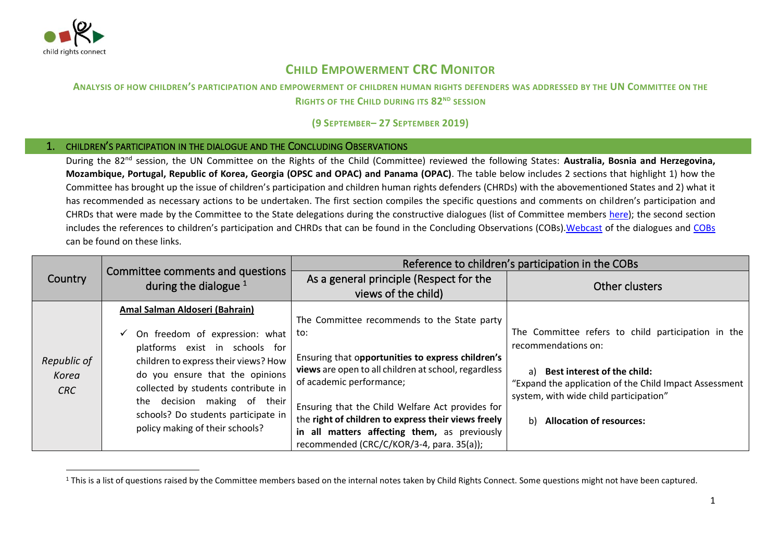

## **CHILD EMPOWERMENT CRC MONITOR**

## **ANALYSIS OF HOW CHILDREN'S PARTICIPATION AND EMPOWERMENT OF CHILDREN HUMAN RIGHTS DEFENDERS WAS ADDRESSED BY THE UN COMMITTEE ON THE RIGHTS OF THE CHILD DURING ITS 82ND SESSION**

## **(9 SEPTEMBER– 27 SEPTEMBER 2019)**

## 1. CHILDREN'S PARTICIPATION IN THE DIALOGUE AND THE CONCLUDING OBSERVATIONS

During the 82nd session, the UN Committee on the Rights of the Child (Committee) reviewed the following States: **Australia, Bosnia and Herzegovina, Mozambique, Portugal, Republic of Korea, Georgia (OPSC and OPAC) and Panama (OPAC)**. The table below includes 2 sections that highlight 1) how the Committee has brought up the issue of children's participation and children human rights defenders (CHRDs) with the abovementioned States and 2) what it has recommended as necessary actions to be undertaken. The first section compiles the specific questions and comments on children's participation and CHRDs that were made by the Committee to the State delegations during the constructive dialogues (list of Committee members [here\)](http://www.ohchr.org/EN/HRBodies/CRC/Pages/Membership.aspx); the second section includes the references to children's participation and CHRDs that can be found in the Concluding Observations (COBs)[.Webcast](http://webtv.un.org/meetings-events/human-rights-treaty-bodies/committee-on-the-rights-of-the-child/81st-session/watch/consideration-of-sri-lanka-opsc-2384th-meeting-81st-session-committee-on-the-rights-of-the-child/6040589730001/?term=) of the dialogues and [COBs](https://tbinternet.ohchr.org/_layouts/15/treatybodyexternal/SessionDetails1.aspx?SessionID=1271&Lang=en) can be found on these links.

| Committee comments and questions<br>As a general principle (Respect for the<br>Country                                                                                                                                                                                                                                                                                                                                                                                                                                                                                                                                                                                                                                                                                                                                                                                                                                                                                                                                                     |
|--------------------------------------------------------------------------------------------------------------------------------------------------------------------------------------------------------------------------------------------------------------------------------------------------------------------------------------------------------------------------------------------------------------------------------------------------------------------------------------------------------------------------------------------------------------------------------------------------------------------------------------------------------------------------------------------------------------------------------------------------------------------------------------------------------------------------------------------------------------------------------------------------------------------------------------------------------------------------------------------------------------------------------------------|
| during the dialogue $1$<br>Other clusters<br>views of the child)                                                                                                                                                                                                                                                                                                                                                                                                                                                                                                                                                                                                                                                                                                                                                                                                                                                                                                                                                                           |
| Amal Salman Aldoseri (Bahrain)<br>The Committee recommends to the State party<br>The Committee refers to child participation in the<br>to:<br>On freedom of expression: what<br>recommendations on:<br>platforms exist in schools for<br>Ensuring that opportunities to express children's<br>Republic of<br>children to express their views? How<br>views are open to all children at school, regardless<br><b>Best interest of the child:</b><br>a)<br>do you ensure that the opinions<br>Korea<br>of academic performance;<br>"Expand the application of the Child Impact Assessment<br>collected by students contribute in<br>CRC<br>system, with wide child participation"<br>the decision making of their<br>Ensuring that the Child Welfare Act provides for<br>schools? Do students participate in<br>the right of children to express their views freely<br><b>Allocation of resources:</b><br>b)<br>policy making of their schools?<br>in all matters affecting them, as previously<br>recommended (CRC/C/KOR/3-4, para. 35(a)); |

<sup>&</sup>lt;sup>1</sup> This is a list of questions raised by the Committee members based on the internal notes taken by Child Rights Connect. Some questions might not have been captured.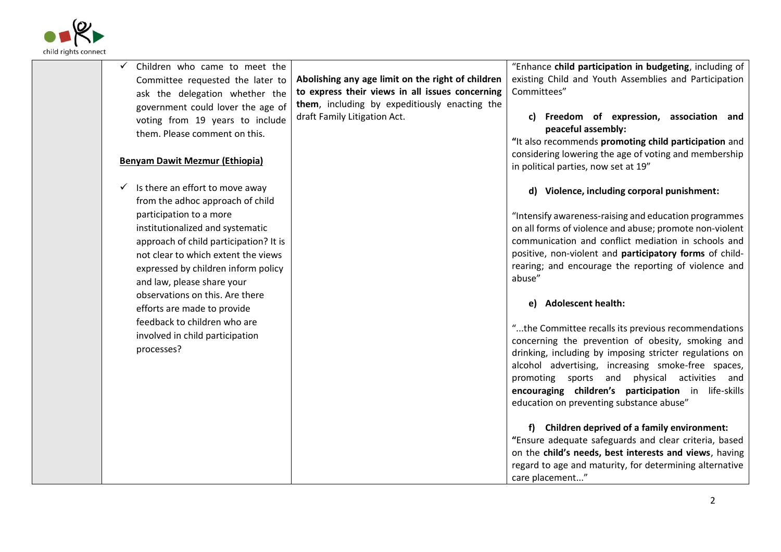

| Children who came to meet the          |                                                   | "Enhance child participation in budgeting, including of                     |
|----------------------------------------|---------------------------------------------------|-----------------------------------------------------------------------------|
| Committee requested the later to       | Abolishing any age limit on the right of children | existing Child and Youth Assemblies and Participation                       |
| ask the delegation whether the         | to express their views in all issues concerning   | Committees"                                                                 |
| government could lover the age of      | them, including by expeditiously enacting the     |                                                                             |
| voting from 19 years to include        | draft Family Litigation Act.                      | Freedom of expression, association and<br>C)                                |
| them. Please comment on this.          |                                                   | peaceful assembly:<br>"It also recommends promoting child participation and |
|                                        |                                                   | considering lowering the age of voting and membership                       |
| <b>Benyam Dawit Mezmur (Ethiopia)</b>  |                                                   | in political parties, now set at 19"                                        |
| Is there an effort to move away<br>✓   |                                                   | d) Violence, including corporal punishment:                                 |
| from the adhoc approach of child       |                                                   |                                                                             |
| participation to a more                |                                                   | "Intensify awareness-raising and education programmes                       |
| institutionalized and systematic       |                                                   | on all forms of violence and abuse; promote non-violent                     |
| approach of child participation? It is |                                                   | communication and conflict mediation in schools and                         |
| not clear to which extent the views    |                                                   | positive, non-violent and participatory forms of child-                     |
| expressed by children inform policy    |                                                   | rearing; and encourage the reporting of violence and<br>abuse"              |
| and law, please share your             |                                                   |                                                                             |
| observations on this. Are there        |                                                   | <b>Adolescent health:</b><br>e)                                             |
| efforts are made to provide            |                                                   |                                                                             |
| feedback to children who are           |                                                   | "the Committee recalls its previous recommendations                         |
| involved in child participation        |                                                   | concerning the prevention of obesity, smoking and                           |
| processes?                             |                                                   | drinking, including by imposing stricter regulations on                     |
|                                        |                                                   | alcohol advertising, increasing smoke-free spaces,                          |
|                                        |                                                   | promoting sports and physical activities and                                |
|                                        |                                                   | encouraging children's participation in life-skills                         |
|                                        |                                                   | education on preventing substance abuse"                                    |
|                                        |                                                   | Children deprived of a family environment:                                  |
|                                        |                                                   | "Ensure adequate safeguards and clear criteria, based                       |
|                                        |                                                   | on the child's needs, best interests and views, having                      |
|                                        |                                                   | regard to age and maturity, for determining alternative                     |
|                                        |                                                   | care placement"                                                             |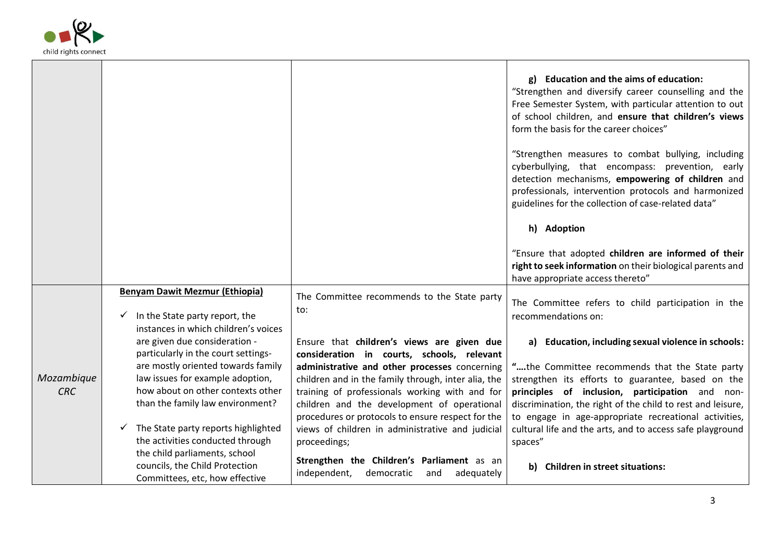

|                          |                                                                                                                                                 |                                                                                                                                                                                                                                                            | g) Education and the aims of education:<br>"Strengthen and diversify career counselling and the<br>Free Semester System, with particular attention to out<br>of school children, and ensure that children's views<br>form the basis for the career choices"                    |
|--------------------------|-------------------------------------------------------------------------------------------------------------------------------------------------|------------------------------------------------------------------------------------------------------------------------------------------------------------------------------------------------------------------------------------------------------------|--------------------------------------------------------------------------------------------------------------------------------------------------------------------------------------------------------------------------------------------------------------------------------|
|                          |                                                                                                                                                 |                                                                                                                                                                                                                                                            | "Strengthen measures to combat bullying, including<br>cyberbullying, that encompass: prevention, early<br>detection mechanisms, empowering of children and<br>professionals, intervention protocols and harmonized<br>guidelines for the collection of case-related data"      |
|                          |                                                                                                                                                 |                                                                                                                                                                                                                                                            | h) Adoption                                                                                                                                                                                                                                                                    |
|                          |                                                                                                                                                 |                                                                                                                                                                                                                                                            | "Ensure that adopted children are informed of their<br>right to seek information on their biological parents and<br>have appropriate access thereto"                                                                                                                           |
|                          | <b>Benyam Dawit Mezmur (Ethiopia)</b><br>In the State party report, the<br>✓<br>instances in which children's voices                            | The Committee recommends to the State party<br>to:                                                                                                                                                                                                         | The Committee refers to child participation in the<br>recommendations on:                                                                                                                                                                                                      |
|                          | are given due consideration -<br>particularly in the court settings-                                                                            | Ensure that children's views are given due<br>consideration in courts, schools, relevant                                                                                                                                                                   | a) Education, including sexual violence in schools:                                                                                                                                                                                                                            |
| Mozambique<br><b>CRC</b> | are mostly oriented towards family<br>law issues for example adoption,<br>how about on other contexts other<br>than the family law environment? | administrative and other processes concerning<br>children and in the family through, inter alia, the<br>training of professionals working with and for<br>children and the development of operational<br>procedures or protocols to ensure respect for the | "the Committee recommends that the State party<br>strengthen its efforts to guarantee, based on the<br>principles of inclusion, participation and non-<br>discrimination, the right of the child to rest and leisure,<br>to engage in age-appropriate recreational activities, |
|                          | The State party reports highlighted<br>✓<br>the activities conducted through                                                                    | views of children in administrative and judicial<br>proceedings;                                                                                                                                                                                           | cultural life and the arts, and to access safe playground<br>spaces"                                                                                                                                                                                                           |
|                          | the child parliaments, school<br>councils, the Child Protection<br>Committees, etc, how effective                                               | Strengthen the Children's Parliament as an<br>independent,<br>democratic<br>adequately<br>and                                                                                                                                                              | b) Children in street situations:                                                                                                                                                                                                                                              |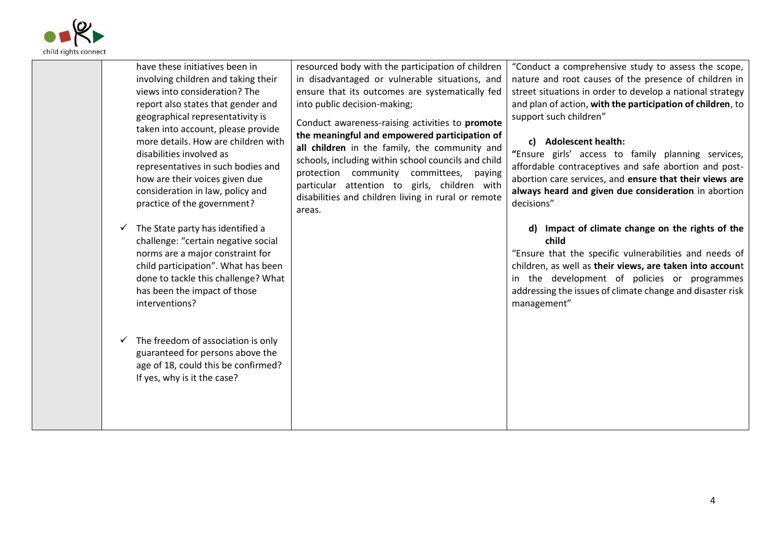

| resourced body with the participation of children<br>"Conduct a comprehensive study to assess the scope,<br>have these initiatives been in<br>involving children and taking their<br>in disadvantaged or vulnerable situations, and<br>nature and root causes of the presence of children in<br>views into consideration? The<br>street situations in order to develop a national strategy<br>ensure that its outcomes are systematically fed<br>and plan of action, with the participation of children, to<br>report also states that gender and<br>into public decision-making;<br>geographical representativity is<br>support such children"<br>Conduct awareness-raising activities to promote<br>taken into account, please provide<br>the meaningful and empowered participation of<br>more details. How are children with<br>c) Adolescent health:<br>all children in the family, the community and<br>"Ensure girls' access to family planning services,<br>disabilities involved as<br>schools, including within school councils and child<br>affordable contraceptives and safe abortion and post-<br>representatives in such bodies and<br>protection community committees, paying<br>how are their voices given due<br>abortion care services, and ensure that their views are<br>particular attention to girls, children with<br>consideration in law, policy and<br>always heard and given due consideration in abortion<br>disabilities and children living in rural or remote<br>practice of the government?<br>decisions"<br>areas.<br>The State party has identified a<br>Impact of climate change on the rights of the<br>d)<br>✓<br>child<br>challenge: "certain negative social<br>norms are a major constraint for<br>"Ensure that the specific vulnerabilities and needs of<br>child participation". What has been<br>children, as well as their views, are taken into account<br>done to tackle this challenge? What<br>in the development of policies or programmes<br>has been the impact of those<br>addressing the issues of climate change and disaster risk<br>management"<br>interventions?<br>The freedom of association is only<br>✓<br>guaranteed for persons above the<br>age of 18, could this be confirmed?<br>If yes, why is it the case? |  |  |
|---------------------------------------------------------------------------------------------------------------------------------------------------------------------------------------------------------------------------------------------------------------------------------------------------------------------------------------------------------------------------------------------------------------------------------------------------------------------------------------------------------------------------------------------------------------------------------------------------------------------------------------------------------------------------------------------------------------------------------------------------------------------------------------------------------------------------------------------------------------------------------------------------------------------------------------------------------------------------------------------------------------------------------------------------------------------------------------------------------------------------------------------------------------------------------------------------------------------------------------------------------------------------------------------------------------------------------------------------------------------------------------------------------------------------------------------------------------------------------------------------------------------------------------------------------------------------------------------------------------------------------------------------------------------------------------------------------------------------------------------------------------------------------------------------------------------------------------------------------------------------------------------------------------------------------------------------------------------------------------------------------------------------------------------------------------------------------------------------------------------------------------------------------------------------------------------------------------------------------------------------------------------------------|--|--|
|                                                                                                                                                                                                                                                                                                                                                                                                                                                                                                                                                                                                                                                                                                                                                                                                                                                                                                                                                                                                                                                                                                                                                                                                                                                                                                                                                                                                                                                                                                                                                                                                                                                                                                                                                                                                                                                                                                                                                                                                                                                                                                                                                                                                                                                                                 |  |  |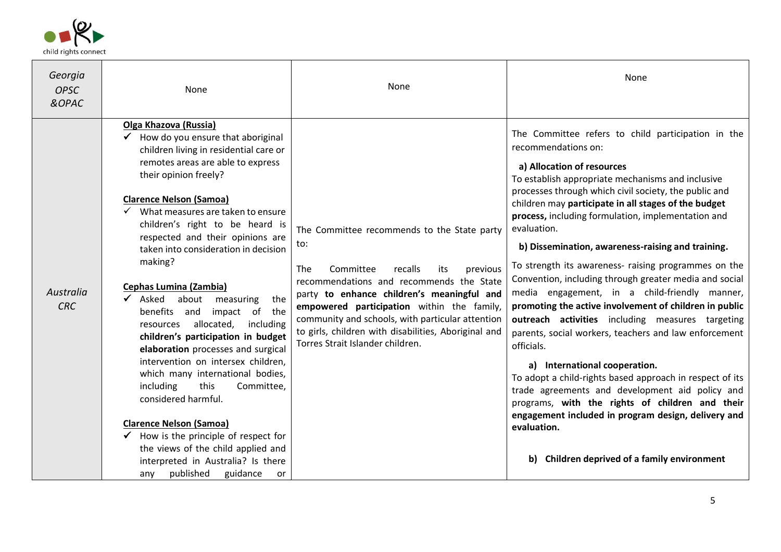

| Georgia<br><b>OPSC</b><br>&OPAC | None                                                                                                                                                                                                                                                                                                                                                                                                                                                                                                                                                                                                                                                                                                                                                                                                                                                                                                                                                              | None                                                                                                                                                                                                                                                                                                                                                                                                | None                                                                                                                                                                                                                                                                                                                                                                                                                                                                                                                                                                                                                                                                                                                                                                                                                                                                                                                                                                                                                                                                                        |
|---------------------------------|-------------------------------------------------------------------------------------------------------------------------------------------------------------------------------------------------------------------------------------------------------------------------------------------------------------------------------------------------------------------------------------------------------------------------------------------------------------------------------------------------------------------------------------------------------------------------------------------------------------------------------------------------------------------------------------------------------------------------------------------------------------------------------------------------------------------------------------------------------------------------------------------------------------------------------------------------------------------|-----------------------------------------------------------------------------------------------------------------------------------------------------------------------------------------------------------------------------------------------------------------------------------------------------------------------------------------------------------------------------------------------------|---------------------------------------------------------------------------------------------------------------------------------------------------------------------------------------------------------------------------------------------------------------------------------------------------------------------------------------------------------------------------------------------------------------------------------------------------------------------------------------------------------------------------------------------------------------------------------------------------------------------------------------------------------------------------------------------------------------------------------------------------------------------------------------------------------------------------------------------------------------------------------------------------------------------------------------------------------------------------------------------------------------------------------------------------------------------------------------------|
| Australia<br><b>CRC</b>         | Olga Khazova (Russia)<br>$\checkmark$ How do you ensure that aboriginal<br>children living in residential care or<br>remotes areas are able to express<br>their opinion freely?<br><b>Clarence Nelson (Samoa)</b><br>What measures are taken to ensure<br>children's right to be heard is<br>respected and their opinions are<br>taken into consideration in decision<br>making?<br><b>Cephas Lumina (Zambia)</b><br>Asked<br>about<br>measuring<br>the<br>benefits<br>impact<br>of<br>the<br>and<br>allocated,<br>including<br>resources<br>children's participation in budget<br>elaboration processes and surgical<br>intervention on intersex children,<br>which many international bodies,<br>including<br>this<br>Committee,<br>considered harmful.<br><b>Clarence Nelson (Samoa)</b><br>$\checkmark$ How is the principle of respect for<br>the views of the child applied and<br>interpreted in Australia? Is there<br>published<br>guidance<br>any<br>or | The Committee recommends to the State party<br>to:<br><b>The</b><br>Committee<br>recalls<br>its<br>previous<br>recommendations and recommends the State<br>party to enhance children's meaningful and<br>empowered participation within the family,<br>community and schools, with particular attention<br>to girls, children with disabilities, Aboriginal and<br>Torres Strait Islander children. | The Committee refers to child participation in the<br>recommendations on:<br>a) Allocation of resources<br>To establish appropriate mechanisms and inclusive<br>processes through which civil society, the public and<br>children may participate in all stages of the budget<br>process, including formulation, implementation and<br>evaluation.<br>b) Dissemination, awareness-raising and training.<br>To strength its awareness- raising programmes on the<br>Convention, including through greater media and social<br>media engagement, in a child-friendly manner,<br>promoting the active involvement of children in public<br>outreach activities including measures targeting<br>parents, social workers, teachers and law enforcement<br>officials.<br>a) International cooperation.<br>To adopt a child-rights based approach in respect of its<br>trade agreements and development aid policy and<br>programs, with the rights of children and their<br>engagement included in program design, delivery and<br>evaluation.<br>Children deprived of a family environment<br>b) |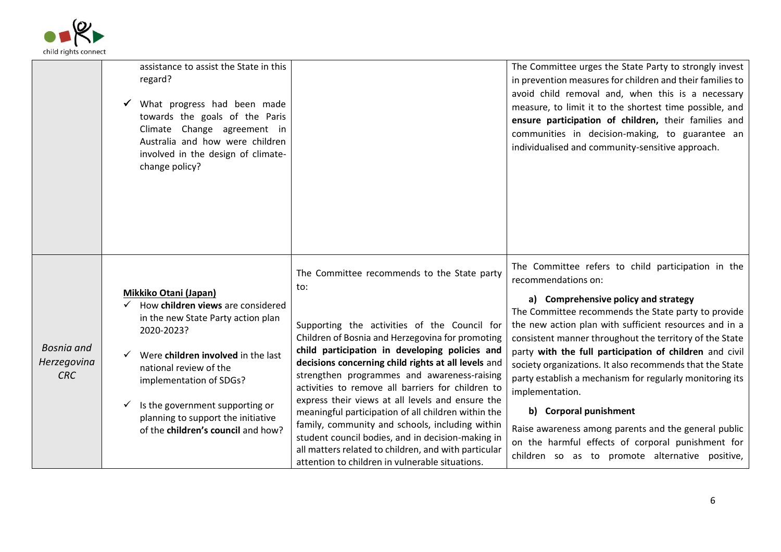

|                                                | assistance to assist the State in this<br>regard?<br>What progress had been made<br>towards the goals of the Paris<br>Climate Change agreement in<br>Australia and how were children<br>involved in the design of climate-<br>change policy?                                                                                          |                                                                                                                                                                                                                                                                                                                                                                                                                                                                                                                                                                                                                                                                                                   | The Committee urges the State Party to strongly invest<br>in prevention measures for children and their families to<br>avoid child removal and, when this is a necessary<br>measure, to limit it to the shortest time possible, and<br>ensure participation of children, their families and<br>communities in decision-making, to guarantee an<br>individualised and community-sensitive approach.                                                                                                                                                                                                                                                                                            |
|------------------------------------------------|---------------------------------------------------------------------------------------------------------------------------------------------------------------------------------------------------------------------------------------------------------------------------------------------------------------------------------------|---------------------------------------------------------------------------------------------------------------------------------------------------------------------------------------------------------------------------------------------------------------------------------------------------------------------------------------------------------------------------------------------------------------------------------------------------------------------------------------------------------------------------------------------------------------------------------------------------------------------------------------------------------------------------------------------------|-----------------------------------------------------------------------------------------------------------------------------------------------------------------------------------------------------------------------------------------------------------------------------------------------------------------------------------------------------------------------------------------------------------------------------------------------------------------------------------------------------------------------------------------------------------------------------------------------------------------------------------------------------------------------------------------------|
| <b>Bosnia</b> and<br>Herzegovina<br><b>CRC</b> | Mikkiko Otani (Japan)<br>$\checkmark$ How children views are considered<br>in the new State Party action plan<br>2020-2023?<br>Were children involved in the last<br>national review of the<br>implementation of SDGs?<br>Is the government supporting or<br>planning to support the initiative<br>of the children's council and how? | The Committee recommends to the State party<br>to:<br>Supporting the activities of the Council for<br>Children of Bosnia and Herzegovina for promoting<br>child participation in developing policies and<br>decisions concerning child rights at all levels and<br>strengthen programmes and awareness-raising<br>activities to remove all barriers for children to<br>express their views at all levels and ensure the<br>meaningful participation of all children within the<br>family, community and schools, including within<br>student council bodies, and in decision-making in<br>all matters related to children, and with particular<br>attention to children in vulnerable situations. | The Committee refers to child participation in the<br>recommendations on:<br>a) Comprehensive policy and strategy<br>The Committee recommends the State party to provide<br>the new action plan with sufficient resources and in a<br>consistent manner throughout the territory of the State<br>party with the full participation of children and civil<br>society organizations. It also recommends that the State<br>party establish a mechanism for regularly monitoring its<br>implementation.<br>b) Corporal punishment<br>Raise awareness among parents and the general public<br>on the harmful effects of corporal punishment for<br>children so as to promote alternative positive, |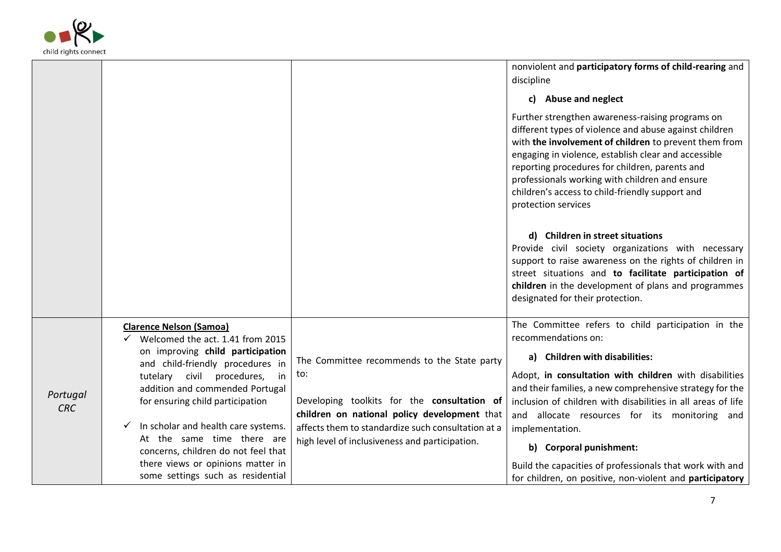

|                        |                                                                        |                                                                                                    | nonviolent and participatory forms of child-rearing and<br>discipline                                                                                                                                                                                                                                                                                                                                     |
|------------------------|------------------------------------------------------------------------|----------------------------------------------------------------------------------------------------|-----------------------------------------------------------------------------------------------------------------------------------------------------------------------------------------------------------------------------------------------------------------------------------------------------------------------------------------------------------------------------------------------------------|
|                        |                                                                        |                                                                                                    | c) Abuse and neglect                                                                                                                                                                                                                                                                                                                                                                                      |
|                        |                                                                        |                                                                                                    | Further strengthen awareness-raising programs on<br>different types of violence and abuse against children<br>with the involvement of children to prevent them from<br>engaging in violence, establish clear and accessible<br>reporting procedures for children, parents and<br>professionals working with children and ensure<br>children's access to child-friendly support and<br>protection services |
|                        |                                                                        |                                                                                                    | d) Children in street situations<br>Provide civil society organizations with necessary<br>support to raise awareness on the rights of children in<br>street situations and to facilitate participation of<br>children in the development of plans and programmes<br>designated for their protection.                                                                                                      |
|                        | <b>Clarence Nelson (Samoa)</b><br>Welcomed the act. 1.41 from 2015     |                                                                                                    | The Committee refers to child participation in the<br>recommendations on:                                                                                                                                                                                                                                                                                                                                 |
|                        | on improving child participation<br>and child-friendly procedures in   | The Committee recommends to the State party                                                        | a) Children with disabilities:                                                                                                                                                                                                                                                                                                                                                                            |
|                        | tutelary civil procedures,<br>in<br>addition and commended Portugal    | to:                                                                                                | Adopt, in consultation with children with disabilities<br>and their families, a new comprehensive strategy for the                                                                                                                                                                                                                                                                                        |
| Portugal<br><b>CRC</b> | for ensuring child participation                                       | Developing toolkits for the consultation of                                                        | inclusion of children with disabilities in all areas of life                                                                                                                                                                                                                                                                                                                                              |
|                        | In scholar and health care systems.                                    | children on national policy development that<br>affects them to standardize such consultation at a | and allocate resources for its monitoring and                                                                                                                                                                                                                                                                                                                                                             |
|                        | At the same time there are                                             | high level of inclusiveness and participation.                                                     | implementation.                                                                                                                                                                                                                                                                                                                                                                                           |
|                        | concerns, children do not feel that                                    |                                                                                                    | b) Corporal punishment:                                                                                                                                                                                                                                                                                                                                                                                   |
|                        | there views or opinions matter in<br>some settings such as residential |                                                                                                    | Build the capacities of professionals that work with and                                                                                                                                                                                                                                                                                                                                                  |
|                        |                                                                        |                                                                                                    | for children, on positive, non-violent and participatory                                                                                                                                                                                                                                                                                                                                                  |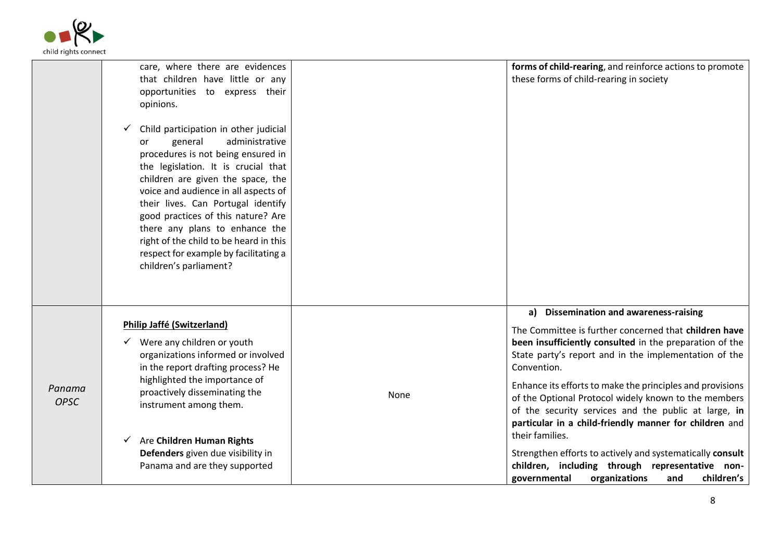

|                       | care, where there are evidences<br>that children have little or any<br>opportunities to express their<br>opinions.<br>Child participation in other judicial<br>✓<br>administrative<br>general<br>or<br>procedures is not being ensured in<br>the legislation. It is crucial that<br>children are given the space, the<br>voice and audience in all aspects of<br>their lives. Can Portugal identify<br>good practices of this nature? Are<br>there any plans to enhance the<br>right of the child to be heard in this<br>respect for example by facilitating a<br>children's parliament? |      | forms of child-rearing, and reinforce actions to promote<br>these forms of child-rearing in society                                                                                                                                                                                                                                                                                                                                                                                                                                                                                                                                                                |
|-----------------------|------------------------------------------------------------------------------------------------------------------------------------------------------------------------------------------------------------------------------------------------------------------------------------------------------------------------------------------------------------------------------------------------------------------------------------------------------------------------------------------------------------------------------------------------------------------------------------------|------|--------------------------------------------------------------------------------------------------------------------------------------------------------------------------------------------------------------------------------------------------------------------------------------------------------------------------------------------------------------------------------------------------------------------------------------------------------------------------------------------------------------------------------------------------------------------------------------------------------------------------------------------------------------------|
| Panama<br><b>OPSC</b> | <b>Philip Jaffé (Switzerland)</b><br>$\checkmark$ Were any children or youth<br>organizations informed or involved<br>in the report drafting process? He<br>highlighted the importance of<br>proactively disseminating the<br>instrument among them.<br>$\checkmark$ Are Children Human Rights<br>Defenders given due visibility in<br>Panama and are they supported                                                                                                                                                                                                                     | None | a) Dissemination and awareness-raising<br>The Committee is further concerned that children have<br>been insufficiently consulted in the preparation of the<br>State party's report and in the implementation of the<br>Convention.<br>Enhance its efforts to make the principles and provisions<br>of the Optional Protocol widely known to the members<br>of the security services and the public at large, in<br>particular in a child-friendly manner for children and<br>their families.<br>Strengthen efforts to actively and systematically consult<br>children, including through representative non-<br>organizations<br>children's<br>governmental<br>and |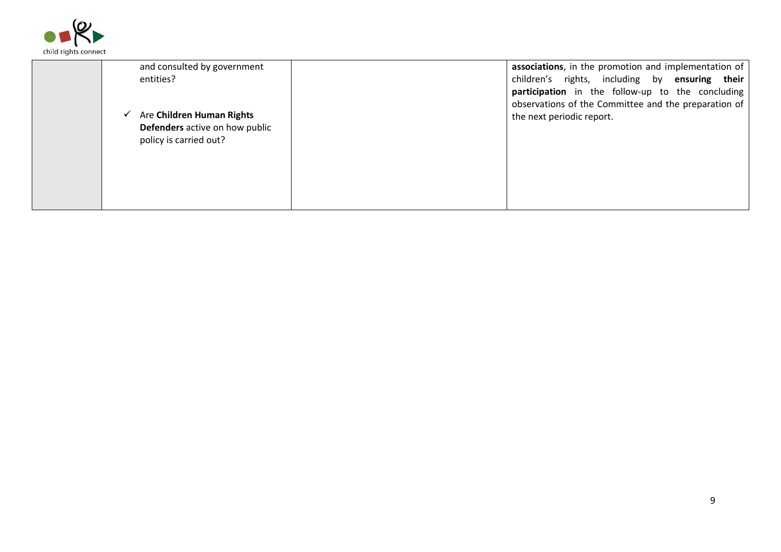

| and consulted by government    | associations, in the promotion and implementation of                                                     |
|--------------------------------|----------------------------------------------------------------------------------------------------------|
| entities?                      | children's rights, including by ensuring their                                                           |
|                                | participation in the follow-up to the concluding<br>observations of the Committee and the preparation of |
| Are Children Human Rights      | the next periodic report.                                                                                |
| Defenders active on how public |                                                                                                          |
| policy is carried out?         |                                                                                                          |
|                                |                                                                                                          |
|                                |                                                                                                          |
|                                |                                                                                                          |
|                                |                                                                                                          |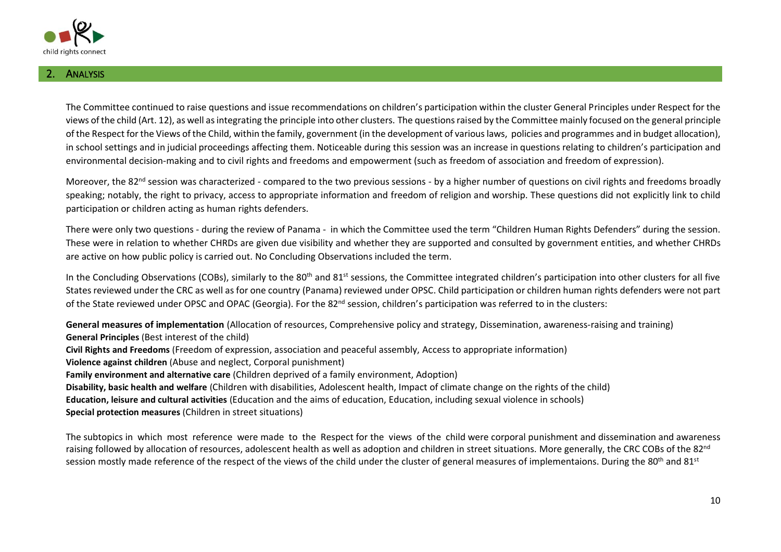

The Committee continued to raise questions and issue recommendations on children's participation within the cluster General Principles under Respect for the views of the child (Art. 12), as well as integrating the principle into other clusters. The questions raised by the Committee mainly focused on the general principle of the Respect for the Views of the Child, within the family, government (in the development of various laws, policies and programmes and in budget allocation), in school settings and in judicial proceedings affecting them. Noticeable during this session was an increase in questions relating to children's participation and environmental decision-making and to civil rights and freedoms and empowerment (such as freedom of association and freedom of expression).

Moreover, the 82<sup>nd</sup> session was characterized - compared to the two previous sessions - by a higher number of questions on civil rights and freedoms broadly speaking; notably, the right to privacy, access to appropriate information and freedom of religion and worship. These questions did not explicitly link to child participation or children acting as human rights defenders.

There were only two questions - during the review of Panama - in which the Committee used the term "Children Human Rights Defenders" during the session. These were in relation to whether CHRDs are given due visibility and whether they are supported and consulted by government entities, and whether CHRDs are active on how public policy is carried out. No Concluding Observations included the term.

In the Concluding Observations (COBs), similarly to the 80<sup>th</sup> and 81<sup>st</sup> sessions, the Committee integrated children's participation into other clusters for all five States reviewed under the CRC as well as for one country (Panama) reviewed under OPSC. Child participation or children human rights defenders were not part of the State reviewed under OPSC and OPAC (Georgia). For the 82nd session, children's participation was referred to in the clusters:

**General measures of implementation** (Allocation of resources, Comprehensive policy and strategy, Dissemination, awareness-raising and training) **General Principles** (Best interest of the child) **Civil Rights and Freedoms** (Freedom of expression, association and peaceful assembly, Access to appropriate information) **Violence against children** (Abuse and neglect, Corporal punishment) **Family environment and alternative care** (Children deprived of a family environment, Adoption) **Disability, basic health and welfare** (Children with disabilities, Adolescent health, Impact of climate change on the rights of the child) **Education, leisure and cultural activities** (Education and the aims of education, Education, including sexual violence in schools) **Special protection measures** (Children in street situations)

The subtopics in which most reference were made to the Respect for the views of the child were corporal punishment and dissemination and awareness raising followed by allocation of resources, adolescent health as well as adoption and children in street situations. More generally, the CRC COBs of the 82<sup>nd</sup> session mostly made reference of the respect of the views of the child under the cluster of general measures of implementaions. During the 80<sup>th</sup> and 81<sup>st</sup>